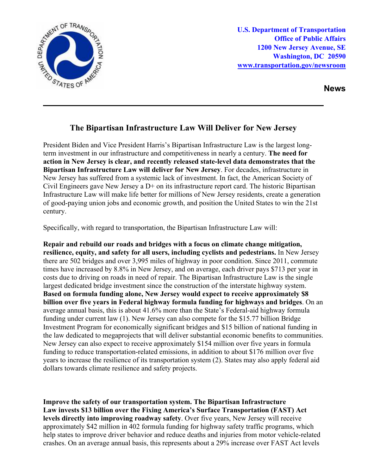

**U.S. Department of Transportation Office of Public Affairs 1200 New Jersey Avenue, SE Washington, DC 20590 [www.transportation.gov/newsroom](http://www.transportation.gov/newsroom)** 

**News**

## **The Bipartisan Infrastructure Law Will Deliver for New Jersey**

President Biden and Vice President Harris's Bipartisan Infrastructure Law is the largest longterm investment in our infrastructure and competitiveness in nearly a century. **The need for action in New Jersey is clear, and recently released state-level data demonstrates that the Bipartisan Infrastructure Law will deliver for New Jersey**. For decades, infrastructure in New Jersey has suffered from a systemic lack of investment. In fact, the American Society of Civil Engineers gave New Jersey a  $D<sup>+</sup>$  on its infrastructure report card. The historic Bipartisan Infrastructure Law will make life better for millions of New Jersey residents, create a generation of good-paying union jobs and economic growth, and position the United States to win the 21st century.

Specifically, with regard to transportation, the Bipartisan Infrastructure Law will:

**Repair and rebuild our roads and bridges with a focus on climate change mitigation, resilience, equity, and safety for all users, including cyclists and pedestrians.** In New Jersey there are 502 bridges and over 3,995 miles of highway in poor condition. Since 2011, commute times have increased by 8.8% in New Jersey, and on average, each driver pays \$713 per year in costs due to driving on roads in need of repair. The Bipartisan Infrastructure Law is the single largest dedicated bridge investment since the construction of the interstate highway system. **Based on formula funding alone, New Jersey would expect to receive approximately \$8 billion over five years in Federal highway formula funding for highways and bridges**. On an average annual basis, this is about 41.6% more than the State's Federal-aid highway formula funding under current law (1). New Jersey can also compete for the \$15.77 billion Bridge Investment Program for economically significant bridges and \$15 billion of national funding in the law dedicated to megaprojects that will deliver substantial economic benefits to communities. New Jersey can also expect to receive approximately \$154 million over five years in formula funding to reduce transportation-related emissions, in addition to about \$176 million over five years to increase the resilience of its transportation system (2). States may also apply federal aid dollars towards climate resilience and safety projects.

**Improve the safety of our transportation system. The Bipartisan Infrastructure Law invests \$13 billion over the Fixing America's Surface Transportation (FAST) Act levels directly into improving roadway safety**. Over five years, New Jersey will receive approximately \$42 million in 402 formula funding for highway safety traffic programs, which help states to improve driver behavior and reduce deaths and injuries from motor vehicle-related crashes. On an average annual basis, this represents about a 29% increase over FAST Act levels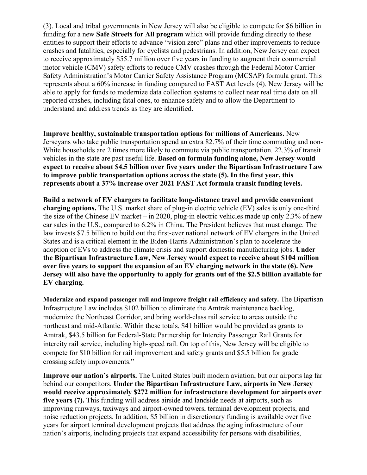(3). Local and tribal governments in New Jersey will also be eligible to compete for \$6 billion in funding for a new **Safe Streets for All program** which will provide funding directly to these entities to support their efforts to advance "vision zero" plans and other improvements to reduce crashes and fatalities, especially for cyclists and pedestrians. In addition, New Jersey can expect to receive approximately \$55.7 million over five years in funding to augment their commercial motor vehicle (CMV) safety efforts to reduce CMV crashes through the Federal Motor Carrier Safety Administration's Motor Carrier Safety Assistance Program (MCSAP) formula grant. This represents about a 60% increase in funding compared to FAST Act levels (4). New Jersey will be able to apply for funds to modernize data collection systems to collect near real time data on all reported crashes, including fatal ones, to enhance safety and to allow the Department to understand and address trends as they are identified.

**Improve healthy, sustainable transportation options for millions of Americans.** New Jerseyans who take public transportation spend an extra 82.7% of their time commuting and non-White households are 2 times more likely to commute via public transportation. 22.3% of transit vehicles in the state are past useful life. **Based on formula funding alone, New Jersey would expect to receive about \$4.5 billion over five years under the Bipartisan Infrastructure Law to improve public transportation options across the state (5). In the first year, this represents about a 37% increase over 2021 FAST Act formula transit funding levels.**

**Build a network of EV chargers to facilitate long-distance travel and provide convenient charging options.** The U.S. market share of plug-in electric vehicle (EV) sales is only one-third the size of the Chinese EV market – in 2020, plug-in electric vehicles made up only 2.3% of new car sales in the U.S., compared to 6.2% in China. The President believes that must change. The law invests \$7.5 billion to build out the first-ever national network of EV chargers in the United States and is a critical element in the Biden-Harris Administration's plan to accelerate the adoption of EVs to address the climate crisis and support domestic manufacturing jobs. **Under the Bipartisan Infrastructure Law, New Jersey would expect to receive about \$104 million over five years to support the expansion of an EV charging network in the state (6). New Jersey will also have the opportunity to apply for grants out of the \$2.5 billion available for EV charging.** 

**Modernize and expand passenger rail and improve freight rail efficiency and safety.** The Bipartisan Infrastructure Law includes \$102 billion to eliminate the Amtrak maintenance backlog, modernize the Northeast Corridor, and bring world-class rail service to areas outside the northeast and mid-Atlantic. Within these totals, \$41 billion would be provided as grants to Amtrak, \$43.5 billion for Federal-State Partnership for Intercity Passenger Rail Grants for intercity rail service, including high-speed rail. On top of this, New Jersey will be eligible to compete for \$10 billion for rail improvement and safety grants and \$5.5 billion for grade crossing safety improvements."

**Improve our nation's airports.** The United States built modern aviation, but our airports lag far behind our competitors. **Under the Bipartisan Infrastructure Law, airports in New Jersey would receive approximately \$272 million for infrastructure development for airports over five years (7).** This funding will address airside and landside needs at airports, such as improving runways, taxiways and airport-owned towers, terminal development projects, and noise reduction projects. In addition, \$5 billion in discretionary funding is available over five years for airport terminal development projects that address the aging infrastructure of our nation's airports, including projects that expand accessibility for persons with disabilities,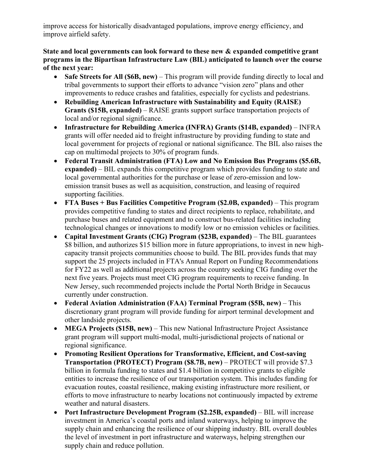improve access for historically disadvantaged populations, improve energy efficiency, and improve airfield safety.

**State and local governments can look forward to these new & expanded competitive grant programs in the Bipartisan Infrastructure Law (BIL) anticipated to launch over the course of the next year:** 

- **Safe Streets for All (\$6B, new)** This program will provide funding directly to local and tribal governments to support their efforts to advance "vision zero" plans and other improvements to reduce crashes and fatalities, especially for cyclists and pedestrians.
- **Rebuilding American Infrastructure with Sustainability and Equity (RAISE) Grants (\$15B, expanded)** – RAISE grants support surface transportation projects of local and/or regional significance.
- **Infrastructure for Rebuilding America (INFRA) Grants (\$14B, expanded)**  INFRA grants will offer needed aid to freight infrastructure by providing funding to state and local government for projects of regional or national significance. The BIL also raises the cap on multimodal projects to 30% of program funds.
- **Federal Transit Administration (FTA) Low and No Emission Bus Programs (\$5.6B, expanded)** – BIL expands this competitive program which provides funding to state and local governmental authorities for the purchase or lease of zero-emission and lowemission transit buses as well as acquisition, construction, and leasing of required supporting facilities.
- **FTA Buses + Bus Facilities Competitive Program (\$2.0B, expanded)** This program provides competitive funding to states and direct recipients to replace, rehabilitate, and purchase buses and related equipment and to construct bus-related facilities including technological changes or innovations to modify low or no emission vehicles or facilities.
- **Capital Investment Grants (CIG) Program (\$23B, expanded)** The BIL guarantees \$8 billion, and authorizes \$15 billion more in future appropriations, to invest in new highcapacity transit projects communities choose to build. The BIL provides funds that may support the 25 projects included in FTA's Annual Report on Funding Recommendations for FY22 as well as additional projects across the country seeking CIG funding over the next five years. Projects must meet CIG program requirements to receive funding. In New Jersey, such recommended projects include the Portal North Bridge in Secaucus currently under construction.
- **Federal Aviation Administration (FAA) Terminal Program (\$5B, new)** This discretionary grant program will provide funding for airport terminal development and other landside projects.
- **MEGA Projects (\$15B, new)** This new National Infrastructure Project Assistance grant program will support multi-modal, multi-jurisdictional projects of national or regional significance.
- **Promoting Resilient Operations for Transformative, Efficient, and Cost-saving Transportation (PROTECT) Program (\$8.7B, new)** – PROTECT will provide \$7.3 billion in formula funding to states and \$1.4 billion in competitive grants to eligible entities to increase the resilience of our transportation system. This includes funding for evacuation routes, coastal resilience, making existing infrastructure more resilient, or efforts to move infrastructure to nearby locations not continuously impacted by extreme weather and natural disasters.
- Port Infrastructure Development Program (\$2.25B, expanded) BIL will increase investment in America's coastal ports and inland waterways, helping to improve the supply chain and enhancing the resilience of our shipping industry. BIL overall doubles the level of investment in port infrastructure and waterways, helping strengthen our supply chain and reduce pollution.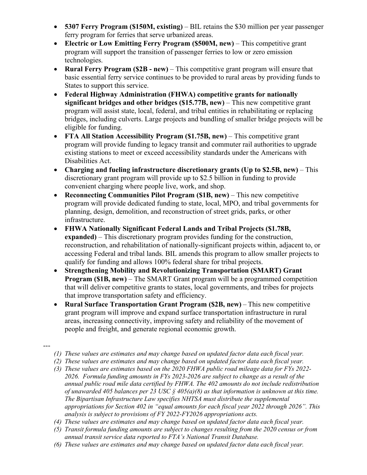- **5307 Ferry Program (\$150M, existing)** BIL retains the \$30 million per year passenger ferry program for ferries that serve urbanized areas.
- **Electric or Low Emitting Ferry Program (\$500M, new)** This competitive grant program will support the transition of passenger ferries to low or zero emission technologies.
- **Rural Ferry Program (\$2B - new)** This competitive grant program will ensure that basic essential ferry service continues to be provided to rural areas by providing funds to States to support this service.
- **Federal Highway Administration (FHWA) competitive grants for nationally significant bridges and other bridges (\$15.77B, new)** – This new competitive grant program will assist state, local, federal, and tribal entities in rehabilitating or replacing bridges, including culverts. Large projects and bundling of smaller bridge projects will be eligible for funding.
- **FTA All Station Accessibility Program (\$1.75B, new)** This competitive grant program will provide funding to legacy transit and commuter rail authorities to upgrade existing stations to meet or exceed accessibility standards under the Americans with Disabilities Act.
- **Charging and fueling infrastructure discretionary grants (Up to \$2.5B, new)** This discretionary grant program will provide up to \$2.5 billion in funding to provide convenient charging where people live, work, and shop.
- **Reconnecting Communities Pilot Program (\$1B, new)** This new competitive program will provide dedicated funding to state, local, MPO, and tribal governments for planning, design, demolition, and reconstruction of street grids, parks, or other infrastructure.
- **FHWA Nationally Significant Federal Lands and Tribal Projects (\$1.78B, expanded)** – This discretionary program provides funding for the construction, reconstruction, and rehabilitation of nationally-significant projects within, adjacent to, or accessing Federal and tribal lands. BIL amends this program to allow smaller projects to qualify for funding and allows 100% federal share for tribal projects.
- **Strengthening Mobility and Revolutionizing Transportation (SMART) Grant Program (\$1B, new)** – The SMART Grant program will be a programmed competition that will deliver competitive grants to states, local governments, and tribes for projects that improve transportation safety and efficiency.
- **Rural Surface Transportation Grant Program (\$2B, new)**– This new competitive grant program will improve and expand surface transportation infrastructure in rural areas, increasing connectivity, improving safety and reliability of the movement of people and freight, and generate regional economic growth.
- ---
- *(1) These values are estimates and may change based on updated factor data each fiscal year.*
- *(2) These values are estimates and may change based on updated factor data each fiscal year.*
- *(3) These values are estimates based on the 2020 FHWA public road mileage data for FYs 2022- 2026. Formula funding amounts in FYs 2023-2026 are subject to change as a result of the annual public road mile data certified by FHWA. The 402 amounts do not include redistribution of unawarded 405 balances per 23 USC § 405(a)(8) as that information is unknown at this time. The Bipartisan Infrastructure Law specifies NHTSA must distribute the supplemental appropriations for Section 402 in "equal amounts for each fiscal year 2022 through 2026". This analysis is subject to provisions of FY 2022-FY2026 appropriations acts.*
- *(4) These values are estimates and may change based on updated factor data each fiscal year.*
- *(5) Transit formula funding amounts are subject to changes resulting from the 2020 census or from annual transit service data reported to FTA's National Transit Database.*
- *(6) These values are estimates and may change based on updated factor data each fiscal year.*